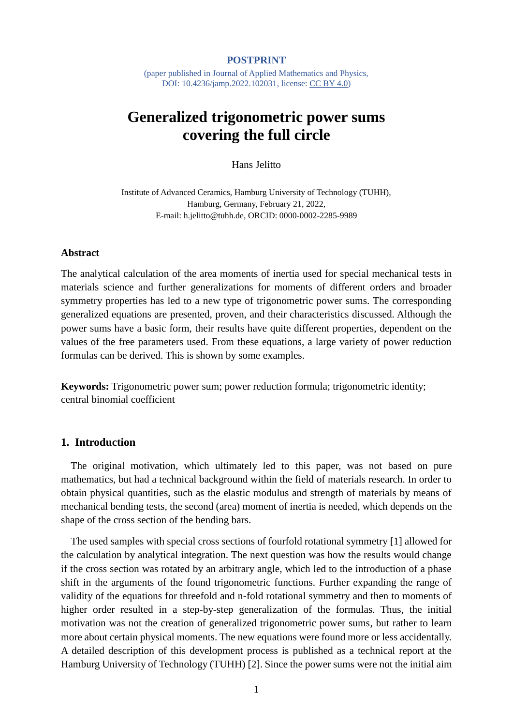#### **POSTPRINT**

(paper published in Journal of Applied Mathematics and Physics, DOI: 10.4236/jamp.2022.102031, license: [CC BY 4.0\)](https://creativecommons.org/licenses/by/4.0/)

# **Generalized trigonometric power sums covering the full circle**

Hans Jelitto

Institute of Advanced Ceramics, Hamburg University of Technology (TUHH), Hamburg, Germany, February 21, 2022, E-mail: h.jelitto@tuhh.de, ORCID: 0000-0002-2285-9989

#### **Abstract**

The analytical calculation of the area moments of inertia used for special mechanical tests in materials science and further generalizations for moments of different orders and broader symmetry properties has led to a new type of trigonometric power sums. The corresponding generalized equations are presented, proven, and their characteristics discussed. Although the power sums have a basic form, their results have quite different properties, dependent on the values of the free parameters used. From these equations, a large variety of power reduction formulas can be derived. This is shown by some examples.

**Keywords:** Trigonometric power sum; power reduction formula; trigonometric identity; central binomial coefficient

### **1. Introduction**

The original motivation, which ultimately led to this paper, was not based on pure mathematics, but had a technical background within the field of materials research. In order to obtain physical quantities, such as the elastic modulus and strength of materials by means of mechanical bending tests, the second (area) moment of inertia is needed, which depends on the shape of the cross section of the bending bars.

The used samples with special cross sections of fourfold rotational symmetry [1] allowed for the calculation by analytical integration. The next question was how the results would change if the cross section was rotated by an arbitrary angle, which led to the introduction of a phase shift in the arguments of the found trigonometric functions. Further expanding the range of validity of the equations for threefold and n-fold rotational symmetry and then to moments of higher order resulted in a step-by-step generalization of the formulas. Thus, the initial motivation was not the creation of generalized trigonometric power sums, but rather to learn more about certain physical moments. The new equations were found more or less accidentally. A detailed description of this development process is published as a technical report at the Hamburg University of Technology (TUHH) [2]. Since the power sums were not the initial aim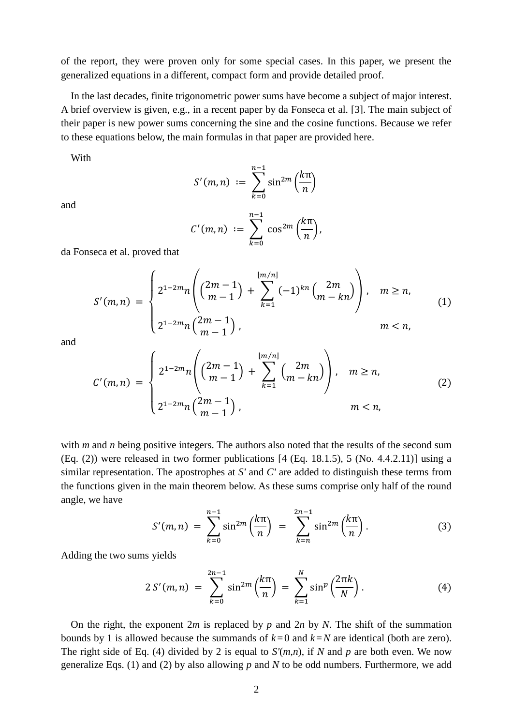of the report, they were proven only for some special cases. In this paper, we present the generalized equations in a different, compact form and provide detailed proof.

In the last decades, finite trigonometric power sums have become a subject of major interest. A brief overview is given, e.g., in a recent paper by da Fonseca et al. [3]. The main subject of their paper is new power sums concerning the sine and the cosine functions. Because we refer to these equations below, the main formulas in that paper are provided here.

With

and

 $S'(m,n) := \sum \sin^{2m}$  $k=0$ (  $kπ$  $\boldsymbol{n}$ )

 $n-1$ 

$$
C'(m,n) := \sum_{k=0}^{n-1} \cos^{2m} \left(\frac{k\pi}{n}\right),
$$

da Fonseca et al. proved that

$$
S'(m,n) = \begin{cases} 2^{1-2m}n \binom{2m-1}{m-1} + \sum_{k=1}^{\lfloor m/n \rfloor} (-1)^{kn} \binom{2m}{m-kn} , & m \ge n, \\ 2^{1-2m}n \binom{2m-1}{m-1} , & m < n, \end{cases}
$$
(1)

and

$$
C'(m,n) = \begin{cases} 2^{1-2m}n \binom{2m-1}{m-1} + \sum_{k=1}^{\lfloor m/n \rfloor} \binom{2m}{m-kn}, & m \ge n, \\ 2^{1-2m}n \binom{2m-1}{m-1}, & m < n, \end{cases} \tag{2}
$$

with *m* and *n* being positive integers. The authors also noted that the results of the second sum (Eq.  $(2)$ ) were released in two former publications [4 (Eq. 18.1.5), 5 (No. 4.4.2.11)] using a similar representation. The apostrophes at *S'* and *C'* are added to distinguish these terms from the functions given in the main theorem below. As these sums comprise only half of the round angle, we have

$$
S'(m,n) = \sum_{k=0}^{n-1} \sin^{2m} \left(\frac{k\pi}{n}\right) = \sum_{k=n}^{2n-1} \sin^{2m} \left(\frac{k\pi}{n}\right).
$$
 (3)

Adding the two sums yields

$$
2 S'(m,n) = \sum_{k=0}^{2n-1} \sin^{2m} \left(\frac{k\pi}{n}\right) = \sum_{k=1}^{N} \sin^{p} \left(\frac{2\pi k}{N}\right).
$$
 (4)

On the right, the exponent 2*m* is replaced by *p* and 2*n* by *N*. The shift of the summation bounds by 1 is allowed because the summands of  $k=0$  and  $k=N$  are identical (both are zero). The right side of Eq. (4) divided by 2 is equal to *S'*(*m*,*n*), if *N* and *p* are both even. We now generalize Eqs. (1) and (2) by also allowing *p* and *N* to be odd numbers. Furthermore, we add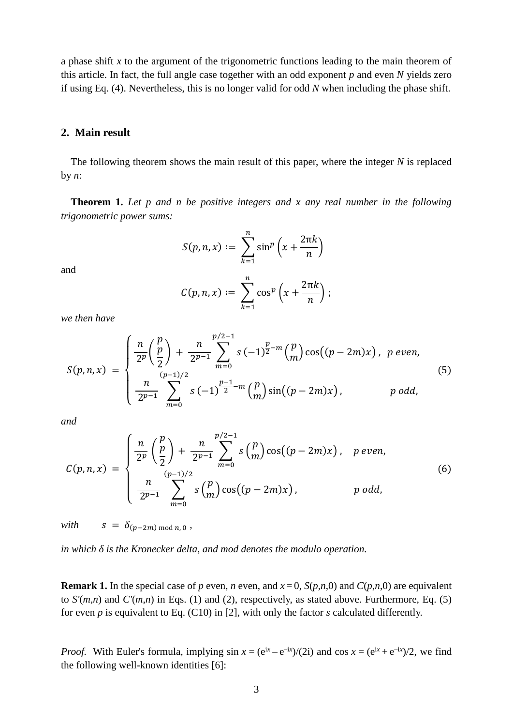a phase shift *x* to the argument of the trigonometric functions leading to the main theorem of this article. In fact, the full angle case together with an odd exponent *p* and even *N* yields zero if using Eq. (4). Nevertheless, this is no longer valid for odd *N* when including the phase shift.

#### **2. Main result**

The following theorem shows the main result of this paper, where the integer *N* is replaced by *n*:

**Theorem 1.** *Let p and n be positive integers and x any real number in the following trigonometric power sums:*

$$
S(p,n,x) := \sum_{k=1}^{n} \sin^{p} \left(x + \frac{2\pi k}{n}\right)
$$

and

$$
C(p,n,x) := \sum_{k=1}^n \cos^p \left(x + \frac{2\pi k}{n}\right);
$$

*we then have*

$$
S(p,n,x) = \begin{cases} \frac{n}{2^p} \left(\frac{p}{2}\right) + \frac{n}{2^{p-1}} \sum_{m=0}^{p/2-1} s \left(-1\right)^{\frac{p}{2}-m} \left(\frac{p}{m}\right) \cos\left((p-2m)x\right), & p \text{ even,} \\ \frac{n}{2^{p-1}} \sum_{m=0}^{(p-1)/2} s \left(-1\right)^{\frac{p-1}{2}-m} \left(\frac{p}{m}\right) \sin\left((p-2m)x\right), & p \text{ odd,} \end{cases} \tag{5}
$$

*and*

$$
C(p,n,x) = \begin{cases} \frac{n}{2^p} \left(\frac{p}{2}\right) + \frac{n}{2^{p-1}} \sum_{m=0}^{p/2-1} s\binom{p}{m} \cos((p-2m)x), & p \text{ even,} \\ \frac{n}{2^{p-1}} \sum_{m=0}^{(p-1)/2} s\binom{p}{m} \cos((p-2m)x), & p \text{ odd,} \end{cases}
$$
(6)

*with*  $S = \delta_{(p-2m) \bmod n, 0}$ ,

*in which δ is the Kronecker delta, and mod denotes the modulo operation.* 

**Remark 1.** In the special case of *p* even, *n* even, and  $x = 0$ , *S*( $p, n, 0$ ) and *C*( $p, n, 0$ ) are equivalent to *S'*(*m*,*n*) and *C'*(*m*,*n*) in Eqs. (1) and (2), respectively, as stated above. Furthermore, Eq. (5) for even *p* is equivalent to Eq. (C10) in [2], with only the factor *s* calculated differently.

*Proof.* With Euler's formula, implying  $\sin x = (e^{ix} - e^{-ix})/(2i)$  and  $\cos x = (e^{ix} + e^{-ix})/2$ , we find the following well-known identities [6]: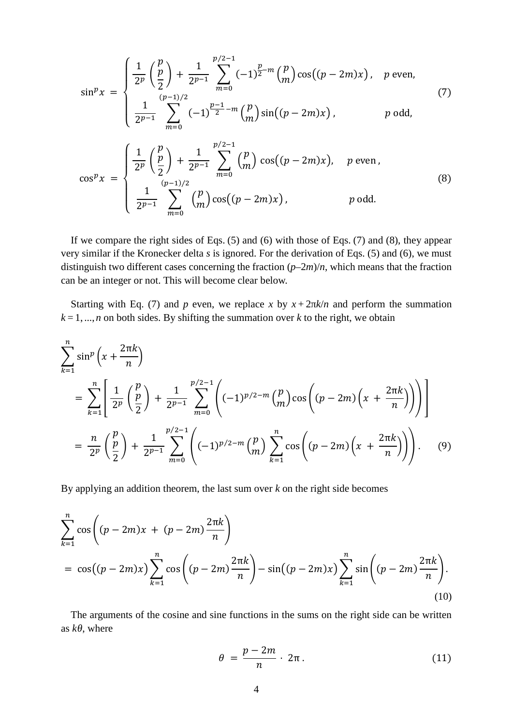$$
\sin^p x = \begin{cases} \frac{1}{2^p} \left( \frac{p}{2} \right) + \frac{1}{2^{p-1}} \sum_{m=0}^{p/2-1} (-1)^{\frac{p}{2}-m} \binom{p}{m} \cos((p-2m)x), & p \text{ even,} \\ \frac{1}{2^{p-1}} \sum_{m=0}^{(p-1)/2} (-1)^{\frac{p-1}{2}-m} \binom{p}{m} \sin((p-2m)x), & p \text{ odd,} \end{cases}
$$
(7)  

$$
\cos^p x = \begin{cases} \frac{1}{2^p} \left( \frac{p}{2} \right) + \frac{1}{2^{p-1}} \sum_{m=0}^{p/2-1} \binom{p}{m} \cos((p-2m)x), & p \text{ even,} \\ \frac{1}{2^{p-1}} \sum_{m=0}^{(p-1)/2} \binom{p}{m} \cos((p-2m)x), & p \text{ odd.} \end{cases}
$$
(8)

If we compare the right sides of Eqs.  $(5)$  and  $(6)$  with those of Eqs.  $(7)$  and  $(8)$ , they appear very similar if the Kronecker delta *s* is ignored. For the derivation of Eqs. (5) and (6), we must distinguish two different cases concerning the fraction (*p*–2*m*)/*n*, which means that the fraction can be an integer or not. This will become clear below.

Starting with Eq. (7) and *p* even, we replace *x* by  $x + 2πk/n$  and perform the summation  $k=1, ..., n$  on both sides. By shifting the summation over  $k$  to the right, we obtain

$$
\sum_{k=1}^{n} \sin^{p} \left( x + \frac{2\pi k}{n} \right)
$$
\n
$$
= \sum_{k=1}^{n} \left[ \frac{1}{2^{p}} \left( \frac{p}{2} \right) + \frac{1}{2^{p-1}} \sum_{m=0}^{p/2-1} \left( (-1)^{p/2-m} \left( \frac{p}{m} \right) \cos \left( (p - 2m) \left( x + \frac{2\pi k}{n} \right) \right) \right) \right]
$$
\n
$$
= \frac{n}{2^{p}} \left( \frac{p}{2} \right) + \frac{1}{2^{p-1}} \sum_{m=0}^{p/2-1} \left( (-1)^{p/2-m} \left( \frac{p}{m} \right) \sum_{k=1}^{n} \cos \left( (p - 2m) \left( x + \frac{2\pi k}{n} \right) \right) \right).
$$
\n(9)

By applying an addition theorem, the last sum over *k* on the right side becomes

$$
\sum_{k=1}^{n} \cos \left( (p - 2m)x + (p - 2m) \frac{2\pi k}{n} \right)
$$
  
=  $\cos((p - 2m)x) \sum_{k=1}^{n} \cos \left( (p - 2m) \frac{2\pi k}{n} \right) - \sin((p - 2m)x) \sum_{k=1}^{n} \sin \left( (p - 2m) \frac{2\pi k}{n} \right).$  (10)

The arguments of the cosine and sine functions in the sums on the right side can be written as *kθ*, where

$$
\theta = \frac{p - 2m}{n} \cdot 2\pi. \tag{11}
$$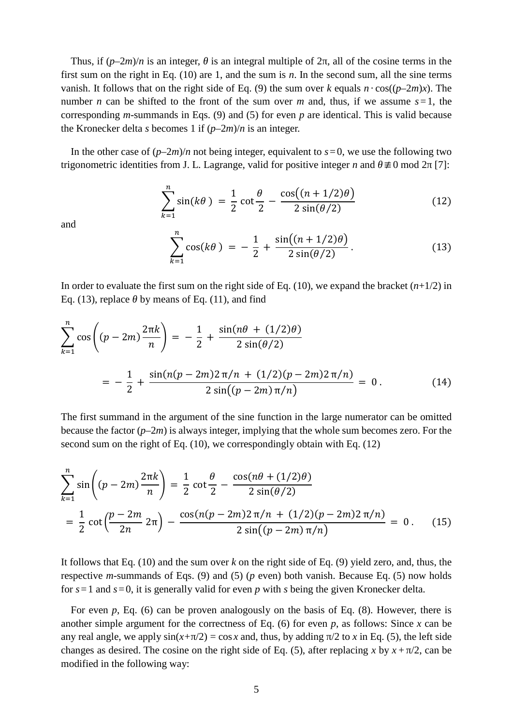Thus, if (*p*–2*m*)/*n* is an integer, *θ* is an integral multiple of 2π, all of the cosine terms in the first sum on the right in Eq. (10) are 1, and the sum is *n*. In the second sum, all the sine terms vanish. It follows that on the right side of Eq. (9) the sum over *k* equals  $n \cdot \cos((p-2m)x)$ . The number *n* can be shifted to the front of the sum over *m* and, thus, if we assume *s*=1, the corresponding *m*-summands in Eqs. (9) and (5) for even *p* are identical. This is valid because the Kronecker delta *s* becomes 1 if (*p*–2*m*)/*n* is an integer.

In the other case of  $(p-2m)/n$  not being integer, equivalent to  $s=0$ , we use the following two trigonometric identities from J. L. Lagrange, valid for positive integer *n* and  $θ \neq 0$  mod  $2π$  [7]:

$$
\sum_{k=1}^{n} \sin(k\theta) = \frac{1}{2} \cot \frac{\theta}{2} - \frac{\cos((n+1/2)\theta)}{2\sin(\theta/2)}
$$
(12)

and

$$
\sum_{k=1}^{n} \cos(k\theta) = -\frac{1}{2} + \frac{\sin((n+1/2)\theta)}{2\sin(\theta/2)}.
$$
 (13)

In order to evaluate the first sum on the right side of Eq. (10), we expand the bracket (*n*+1/2) in Eq. (13), replace  $\theta$  by means of Eq. (11), and find

$$
\sum_{k=1}^{n} \cos \left( (p - 2m) \frac{2\pi k}{n} \right) = -\frac{1}{2} + \frac{\sin(n\theta + (1/2)\theta)}{2\sin(\theta/2)}
$$

$$
= -\frac{1}{2} + \frac{\sin(n(p - 2m)2\pi/n + (1/2)(p - 2m)2\pi/n)}{2\sin((p - 2m)\pi/n)} = 0.
$$
(14)

The first summand in the argument of the sine function in the large numerator can be omitted because the factor (*p*–2*m*) is always integer, implying that the whole sum becomes zero. For the second sum on the right of Eq. (10), we correspondingly obtain with Eq. (12)

$$
\sum_{k=1}^{n} \sin\left((p-2m)\frac{2\pi k}{n}\right) = \frac{1}{2}\cot\frac{\theta}{2} - \frac{\cos(n\theta + (1/2)\theta)}{2\sin(\theta/2)}
$$

$$
= \frac{1}{2}\cot\left(\frac{p-2m}{2n}2\pi\right) - \frac{\cos(n(p-2m)2\pi/n + (1/2)(p-2m)2\pi/n)}{2\sin((p-2m)\pi/n)} = 0. \quad (15)
$$

It follows that Eq. (10) and the sum over *k* on the right side of Eq. (9) yield zero, and, thus, the respective *m*-summands of Eqs. (9) and (5) (*p* even) both vanish. Because Eq. (5) now holds for *s*=1 and *s*=0, it is generally valid for even *p* with *s* being the given Kronecker delta.

For even *p*, Eq. (6) can be proven analogously on the basis of Eq. (8). However, there is another simple argument for the correctness of Eq. (6) for even *p*, as follows: Since *x* can be any real angle, we apply  $sin(x+\pi/2) = cos x$  and, thus, by adding  $\pi/2$  to x in Eq. (5), the left side changes as desired. The cosine on the right side of Eq. (5), after replacing *x* by  $x + \pi/2$ , can be modified in the following way: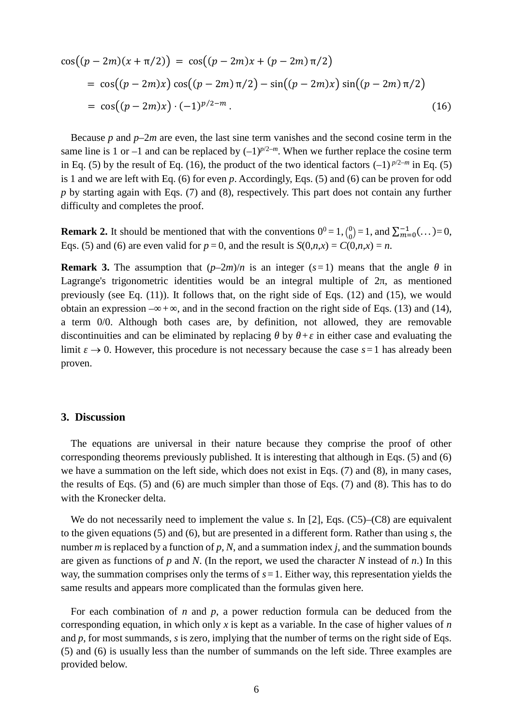$$
\cos((p-2m)(x+\pi/2)) = \cos((p-2m)x + (p-2m)\pi/2)
$$
  
= 
$$
\cos((p-2m)x)\cos((p-2m)\pi/2) - \sin((p-2m)x)\sin((p-2m)\pi/2)
$$
  
= 
$$
\cos((p-2m)x)\cdot(-1)^{p/2-m}.
$$
 (16)

Because *p* and *p*–2*m* are even, the last sine term vanishes and the second cosine term in the same line is 1 or –1 and can be replaced by  $(-1)^{p/2-m}$ . When we further replace the cosine term in Eq. (5) by the result of Eq. (16), the product of the two identical factors  $(-1)^{p/2-m}$  in Eq. (5) is 1 and we are left with Eq. (6) for even *p*. Accordingly, Eqs. (5) and (6) can be proven for odd *p* by starting again with Eqs. (7) and (8), respectively. This part does not contain any further difficulty and completes the proof.

**Remark 2.** It should be mentioned that with the conventions  $0^0 = 1$ ,  $\binom{0}{0}$  $\binom{0}{0}$  = 1, and  $\sum_{m=0}^{-1}$  (...) = 0, Eqs. (5) and (6) are even valid for  $p = 0$ , and the result is  $S(0,n,x) = C(0,n,x) = n$ .

**Remark 3.** The assumption that  $(p-2m)/n$  is an integer ( $s=1$ ) means that the angle  $\theta$  in Lagrange's trigonometric identities would be an integral multiple of  $2π$ , as mentioned previously (see Eq. (11)). It follows that, on the right side of Eqs. (12) and (15), we would obtain an expression  $-\infty + \infty$ , and in the second fraction on the right side of Eqs. (13) and (14), a term 0/0. Although both cases are, by definition, not allowed, they are removable discontinuities and can be eliminated by replacing *θ* by *θ*+*ε* in either case and evaluating the limit  $\varepsilon \to 0$ . However, this procedure is not necessary because the case  $s=1$  has already been proven.

#### **3. Discussion**

The equations are universal in their nature because they comprise the proof of other corresponding theorems previously published. It is interesting that although in Eqs. (5) and (6) we have a summation on the left side, which does not exist in Eqs. (7) and (8), in many cases, the results of Eqs. (5) and (6) are much simpler than those of Eqs. (7) and (8). This has to do with the Kronecker delta.

We do not necessarily need to implement the value *s*. In [2], Eqs. (C5)–(C8) are equivalent to the given equations (5) and (6), but are presented in a different form. Rather than using *s*, the number *m* is replaced by a function of *p*, *N*, and a summation index *j*, and the summation bounds are given as functions of *p* and *N*. (In the report, we used the character *N* instead of *n*.) In this way, the summation comprises only the terms of *s*=1. Either way, this representation yields the same results and appears more complicated than the formulas given here.

For each combination of *n* and *p*, a power reduction formula can be deduced from the corresponding equation, in which only *x* is kept as a variable. In the case of higher values of *n* and *p*, for most summands, *s* is zero, implying that the number of terms on the right side of Eqs. (5) and (6) is usually less than the number of summands on the left side. Three examples are provided below.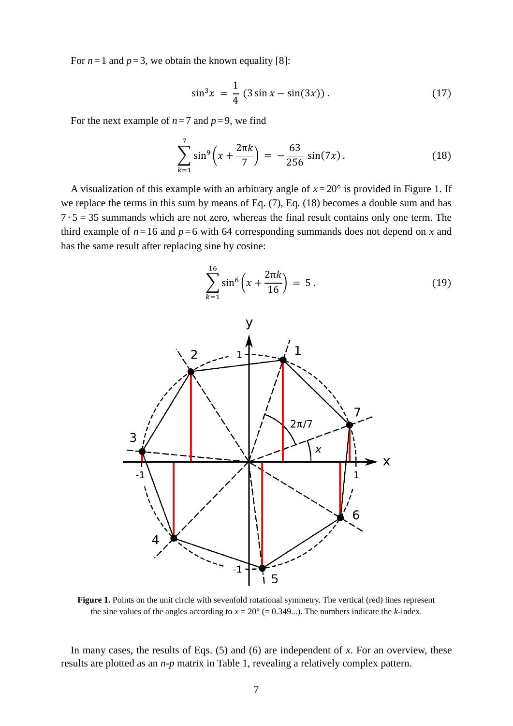For  $n=1$  and  $p=3$ , we obtain the known equality [8]:

$$
\sin^3 x = \frac{1}{4} (3 \sin x - \sin(3x)). \tag{17}
$$

For the next example of  $n=7$  and  $p=9$ , we find

$$
\sum_{k=1}^{7} \sin^9 \left( x + \frac{2\pi k}{7} \right) = -\frac{63}{256} \sin(7x) \,. \tag{18}
$$

A visualization of this example with an arbitrary angle of *x*= 20° is provided in Figure 1. If we replace the terms in this sum by means of Eq. (7), Eq. (18) becomes a double sum and has  $7 \cdot 5 = 35$  summands which are not zero, whereas the final result contains only one term. The third example of  $n=16$  and  $p=6$  with 64 corresponding summands does not depend on *x* and has the same result after replacing sine by cosine:

$$
\sum_{k=1}^{16} \sin^6 \left( x + \frac{2\pi k}{16} \right) = 5 \,. \tag{19}
$$



**Figure 1.** Points on the unit circle with sevenfold rotational symmetry. The vertical (red) lines represent the sine values of the angles according to  $x = 20^{\circ}$  (= 0.349...). The numbers indicate the *k*-index.

In many cases, the results of Eqs. (5) and (6) are independent of *x*. For an overview, these results are plotted as an *n*-*p* matrix in Table 1, revealing a relatively complex pattern.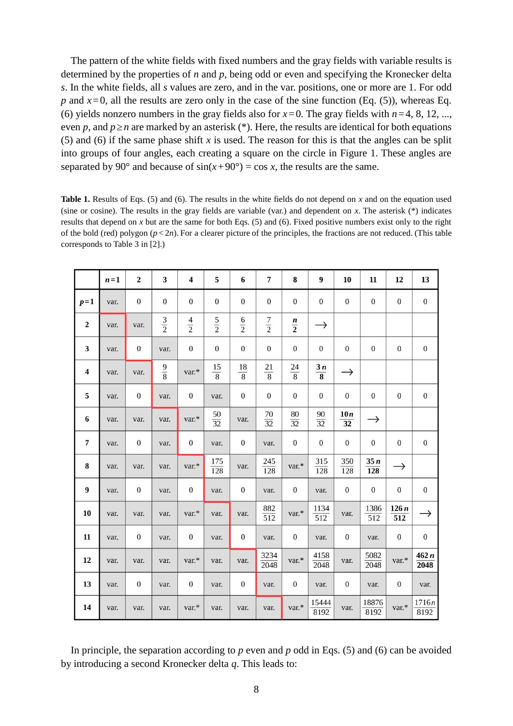The pattern of the white fields with fixed numbers and the gray fields with variable results is determined by the properties of *n* and *p*, being odd or even and specifying the Kronecker delta *s*. In the white fields, all *s* values are zero, and in the var. positions, one or more are 1. For odd *p* and  $x=0$ , all the results are zero only in the case of the sine function (Eq. (5)), whereas Eq. (6) yields nonzero numbers in the gray fields also for  $x=0$ . The gray fields with  $n=4, 8, 12, ...$ even *p*, and  $p \ge n$  are marked by an asterisk (\*). Here, the results are identical for both equations (5) and (6) if the same phase shift *x* is used. The reason for this is that the angles can be split into groups of four angles, each creating a square on the circle in Figure 1. These angles are separated by 90° and because of  $sin(x+90°) = cos x$ , the results are the same.

**Table 1.** Results of Eqs. (5) and (6). The results in the white fields do not depend on *x* and on the equation used (sine or cosine). The results in the gray fields are variable (var.) and dependent on *x*. The asterisk (\*) indicates results that depend on *x* but are the same for both Eqs. (5) and (6). Fixed positive numbers exist only to the right of the bold (red) polygon (*p* < 2*n*). For a clearer picture of the principles, the fractions are not reduced. (This table corresponds to Table 3 in [2].)

|                | $n=1$ | $\overline{\mathbf{2}}$ | 3                | $\overline{\mathbf{4}}$ | 5                       | 6                | 7                       | 8                           | 9                                 | 10                      | 11                       | 12                       | 13               |
|----------------|-------|-------------------------|------------------|-------------------------|-------------------------|------------------|-------------------------|-----------------------------|-----------------------------------|-------------------------|--------------------------|--------------------------|------------------|
| $p=1$          | var.  | $\boldsymbol{0}$        | $\boldsymbol{0}$ | $\boldsymbol{0}$        | $\boldsymbol{0}$        | $\boldsymbol{0}$ | $\boldsymbol{0}$        | $\boldsymbol{0}$            | $\boldsymbol{0}$                  | $\boldsymbol{0}$        | $\boldsymbol{0}$         | $\boldsymbol{0}$         | $\boldsymbol{0}$ |
| $\mathbf 2$    | var.  | var.                    | $rac{3}{2}$      | $\frac{4}{2}$           | $rac{5}{2}$             | $\frac{6}{2}$    | $rac{7}{2}$             | $\frac{n}{2}$               | $\rightarrow$                     |                         |                          |                          |                  |
| 3              | var.  | $\boldsymbol{0}$        | var.             | $\boldsymbol{0}$        | $\boldsymbol{0}$        | $\boldsymbol{0}$ | $\boldsymbol{0}$        | $\boldsymbol{0}$            | $\boldsymbol{0}$                  | $\boldsymbol{0}$        | $\boldsymbol{0}$         | $\boldsymbol{0}$         | $\boldsymbol{0}$ |
| $\overline{4}$ | var.  | var.                    | $\frac{9}{8}$    | var.*                   | $\frac{15}{8}$          | $\frac{18}{8}$   | $\frac{21}{8}$          | $\frac{24}{8}$              | 3n<br>$\overline{\mathbf{8}}$     | $\rightarrow$           |                          |                          |                  |
| 5              | var.  | $\boldsymbol{0}$        | var.             | $\boldsymbol{0}$        | var.                    | $\boldsymbol{0}$ | $\boldsymbol{0}$        | $\boldsymbol{0}$            | $\boldsymbol{0}$                  | $\boldsymbol{0}$        | $\boldsymbol{0}$         | $\boldsymbol{0}$         | $\boldsymbol{0}$ |
| 6              | var.  | var.                    | var.             | var.*                   | $\frac{50}{32}$         | var.             | $\frac{70}{32}$         | $\rm 80$<br>$\overline{32}$ | $\frac{90}{5}$<br>$\overline{32}$ | 10n<br>$\overline{32}$  | $\rightarrow$            |                          |                  |
| $\overline{7}$ | var.  | $\boldsymbol{0}$        | var.             | $\boldsymbol{0}$        | var.                    | $\boldsymbol{0}$ | var.                    | $\boldsymbol{0}$            | $\boldsymbol{0}$                  | $\boldsymbol{0}$        | $\boldsymbol{0}$         | $\mathbf{0}$             | $\boldsymbol{0}$ |
| 8              | var.  | var.                    | var.             | var.*                   | 175<br>$\overline{128}$ | var.             | 245<br>$\overline{128}$ | var.*                       | 315<br>$\overline{128}$           | 350<br>$\overline{128}$ | 35n<br>$\overline{128}$  | $\rightarrow$            |                  |
| 9              | var.  | $\boldsymbol{0}$        | var.             | $\boldsymbol{0}$        | var.                    | $\bf{0}$         | var.                    | $\boldsymbol{0}$            | var.                              | $\boldsymbol{0}$        | $\boldsymbol{0}$         | $\boldsymbol{0}$         | $\boldsymbol{0}$ |
| 10             | var.  | var.                    | var.             | var.*                   | var.                    | var.             | $\frac{882}{512}$       | var.*                       | 1134<br>$\overline{512}$          | var.                    | 1386<br>$\overline{512}$ | 126n<br>$\overline{512}$ | $\rightarrow$    |
| 11             | var.  | $\boldsymbol{0}$        | var.             | $\boldsymbol{0}$        | var.                    | $\boldsymbol{0}$ | var.                    | $\boldsymbol{0}$            | var.                              | $\boldsymbol{0}$        | var.                     | $\boldsymbol{0}$         | $\boldsymbol{0}$ |
| 12             | var.  | var.                    | var.             | var.*                   | var.                    | var.             | 3234<br>2048            | var.*                       | 4158<br>2048                      | var.                    | 5082<br>$\frac{2048}{ }$ | var.*                    | 462n<br>2048     |
| 13             | var.  | $\boldsymbol{0}$        | var.             | $\boldsymbol{0}$        | var.                    | $\bf{0}$         | var.                    | $\boldsymbol{0}$            | var.                              | $\boldsymbol{0}$        | var.                     | $\boldsymbol{0}$         | var.             |
| 14             | var.  | var.                    | var.             | var.*                   | var.                    | var.             | var.                    | var.*                       | 15444<br>8192                     | var.                    | 18876<br>8192            | var.*                    | 1716n<br>8192    |

In principle, the separation according to *p* even and *p* odd in Eqs. (5) and (6) can be avoided by introducing a second Kronecker delta *q*. This leads to: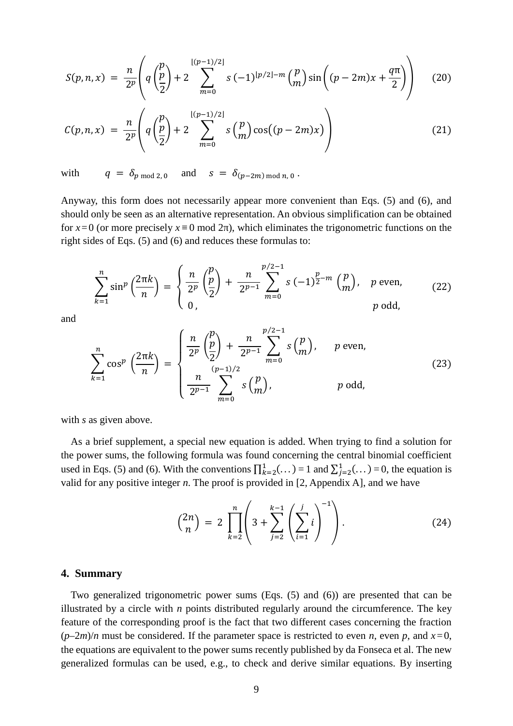$$
S(p,n,x) = \frac{n}{2^p} \left( q \left( \frac{p}{2} \right) + 2 \sum_{m=0}^{\lfloor (p-1)/2 \rfloor} s \left( -1 \right)^{\lfloor p/2 \rfloor - m} {p \choose m} \sin \left( (p-2m)x + \frac{q\pi}{2} \right) \right) \tag{20}
$$

$$
C(p,n,x) = \frac{n}{2^p} \left( q \left( \frac{p}{2} \right) + 2 \sum_{m=0}^{\lfloor (p-1)/2 \rfloor} s \left( \frac{p}{m} \right) \cos((p-2m)x) \right) \tag{21}
$$

with  $q = \delta_{p \mod 2, 0}$  and  $s = \delta_{(p-2m) \mod n, 0}$ .

Anyway, this form does not necessarily appear more convenient than Eqs. (5) and (6), and should only be seen as an alternative representation. An obvious simplification can be obtained for *x*=0 (or more precisely *x* ≡ 0 mod 2π), which eliminates the trigonometric functions on the right sides of Eqs. (5) and (6) and reduces these formulas to:

$$
\sum_{k=1}^{n} \sin^{p} \left( \frac{2\pi k}{n} \right) = \begin{cases} \frac{n}{2^{p}} \left( \frac{p}{2} \right) + \frac{n}{2^{p-1}} \sum_{m=0}^{p/2-1} s \left( -1 \right)^{\frac{p}{2}-m} \left( \frac{p}{m} \right), & p \text{ even,} \\ 0, & p \text{ odd,} \end{cases}
$$
(22)

and

$$
\sum_{k=1}^{n} \cos^{p} \left(\frac{2\pi k}{n}\right) = \begin{cases} \frac{n}{2^{p}} \left(\frac{p}{2}\right) + \frac{n}{2^{p-1}} \sum_{m=0}^{p/2-1} s\left(\frac{p}{m}\right), & p \text{ even,} \\ \frac{n}{2^{p-1}} \sum_{m=0}^{(p-1)/2} s\left(\frac{p}{m}\right), & p \text{ odd,} \end{cases}
$$
(23)

with *s* as given above.

As a brief supplement, a special new equation is added. When trying to find a solution for the power sums, the following formula was found concerning the central binomial coefficient used in Eqs. (5) and (6). With the conventions  $\prod_{k=2}^{1}$  (...) = 1 and  $\sum_{j=2}^{1}$  (...) = 0, the equation is valid for any positive integer *n*. The proof is provided in [2, Appendix A], and we have

$$
\binom{2n}{n} = 2 \prod_{k=2}^{n} \left( 3 + \sum_{j=2}^{k-1} \left( \sum_{i=1}^{j} i \right)^{-1} \right).
$$
 (24)

#### **4. Summary**

Two generalized trigonometric power sums (Eqs. (5) and (6)) are presented that can be illustrated by a circle with *n* points distributed regularly around the circumference. The key feature of the corresponding proof is the fact that two different cases concerning the fraction  $(p-2m)/n$  must be considered. If the parameter space is restricted to even *n*, even *p*, and  $x=0$ , the equations are equivalent to the power sums recently published by da Fonseca et al. The new generalized formulas can be used, e.g., to check and derive similar equations. By inserting